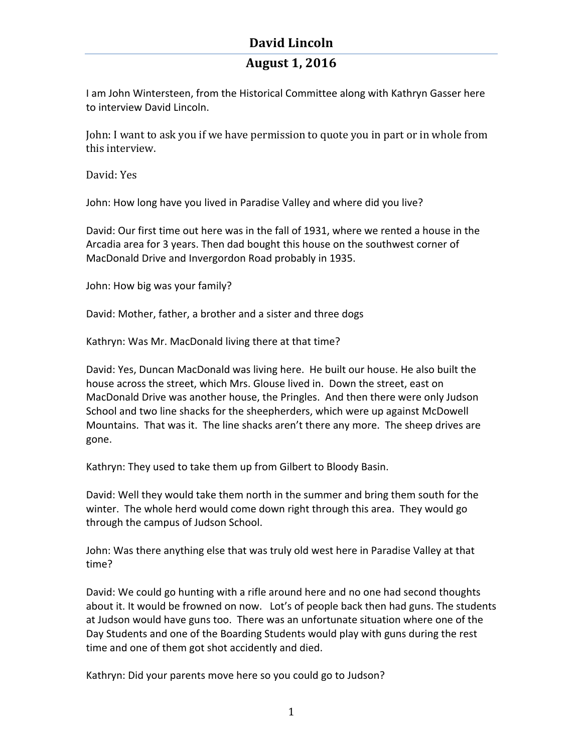## **August 1, 2016**

I am John Wintersteen, from the Historical Committee along with Kathryn Gasser here to interview David Lincoln.

John: I want to ask you if we have permission to quote you in part or in whole from this interview.

David: Yes

John: How long have you lived in Paradise Valley and where did you live?

David: Our first time out here was in the fall of 1931, where we rented a house in the Arcadia area for 3 years. Then dad bought this house on the southwest corner of MacDonald Drive and Invergordon Road probably in 1935.

John: How big was your family?

David: Mother, father, a brother and a sister and three dogs

Kathryn: Was Mr. MacDonald living there at that time?

David: Yes, Duncan MacDonald was living here. He built our house. He also built the house across the street, which Mrs. Glouse lived in. Down the street, east on MacDonald Drive was another house, the Pringles. And then there were only Judson School and two line shacks for the sheepherders, which were up against McDowell Mountains. That was it. The line shacks aren't there any more. The sheep drives are gone.

Kathryn: They used to take them up from Gilbert to Bloody Basin.

David: Well they would take them north in the summer and bring them south for the winter. The whole herd would come down right through this area. They would go through the campus of Judson School.

John: Was there anything else that was truly old west here in Paradise Valley at that time?

David: We could go hunting with a rifle around here and no one had second thoughts about it. It would be frowned on now. Lot's of people back then had guns. The students at Judson would have guns too. There was an unfortunate situation where one of the Day Students and one of the Boarding Students would play with guns during the rest time and one of them got shot accidently and died.

Kathryn: Did your parents move here so you could go to Judson?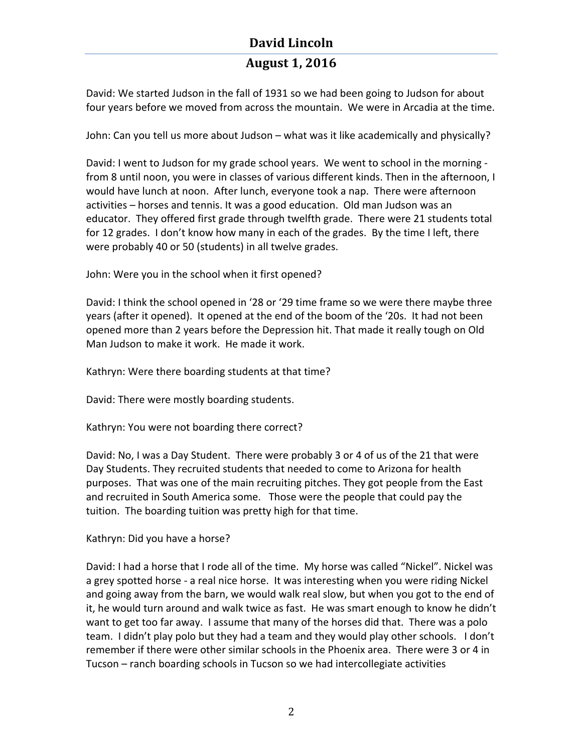## **August 1, 2016**

David: We started Judson in the fall of 1931 so we had been going to Judson for about four years before we moved from across the mountain. We were in Arcadia at the time.

John: Can you tell us more about Judson – what was it like academically and physically?

David: I went to Judson for my grade school years. We went to school in the morning from 8 until noon, you were in classes of various different kinds. Then in the afternoon, I would have lunch at noon. After lunch, everyone took a nap. There were afternoon activities – horses and tennis. It was a good education. Old man Judson was an educator. They offered first grade through twelfth grade. There were 21 students total for 12 grades. I don't know how many in each of the grades. By the time I left, there were probably 40 or 50 (students) in all twelve grades.

John: Were you in the school when it first opened?

David: I think the school opened in '28 or '29 time frame so we were there maybe three years (after it opened). It opened at the end of the boom of the '20s. It had not been opened more than 2 years before the Depression hit. That made it really tough on Old Man Judson to make it work. He made it work.

Kathryn: Were there boarding students at that time?

David: There were mostly boarding students.

Kathryn: You were not boarding there correct?

David: No, I was a Day Student. There were probably 3 or 4 of us of the 21 that were Day Students. They recruited students that needed to come to Arizona for health purposes. That was one of the main recruiting pitches. They got people from the East and recruited in South America some. Those were the people that could pay the tuition. The boarding tuition was pretty high for that time.

Kathryn: Did you have a horse?

David: I had a horse that I rode all of the time. My horse was called "Nickel". Nickel was a grey spotted horse - a real nice horse. It was interesting when you were riding Nickel and going away from the barn, we would walk real slow, but when you got to the end of it, he would turn around and walk twice as fast. He was smart enough to know he didn't want to get too far away. I assume that many of the horses did that. There was a polo team. I didn't play polo but they had a team and they would play other schools. I don't remember if there were other similar schools in the Phoenix area. There were 3 or 4 in Tucson – ranch boarding schools in Tucson so we had intercollegiate activities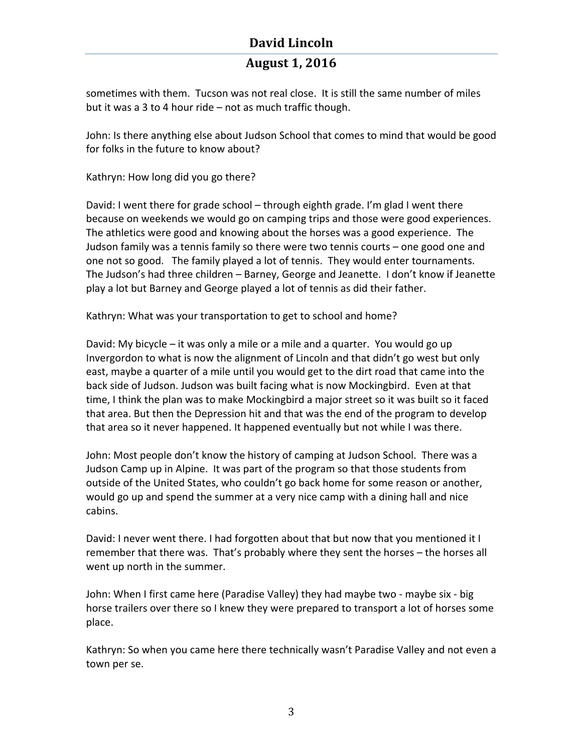## **August 1, 2016**

sometimes with them. Tucson was not real close. It is still the same number of miles but it was a 3 to 4 hour ride  $-$  not as much traffic though.

John: Is there anything else about Judson School that comes to mind that would be good for folks in the future to know about?

Kathryn: How long did you go there?

David: I went there for grade school – through eighth grade. I'm glad I went there because on weekends we would go on camping trips and those were good experiences. The athletics were good and knowing about the horses was a good experience. The Judson family was a tennis family so there were two tennis courts – one good one and one not so good. The family played a lot of tennis. They would enter tournaments. The Judson's had three children – Barney, George and Jeanette. I don't know if Jeanette play a lot but Barney and George played a lot of tennis as did their father.

Kathryn: What was your transportation to get to school and home?

David: My bicycle  $-$  it was only a mile or a mile and a quarter. You would go up Invergordon to what is now the alignment of Lincoln and that didn't go west but only east, maybe a quarter of a mile until you would get to the dirt road that came into the back side of Judson. Judson was built facing what is now Mockingbird. Even at that time, I think the plan was to make Mockingbird a major street so it was built so it faced that area. But then the Depression hit and that was the end of the program to develop that area so it never happened. It happened eventually but not while I was there.

John: Most people don't know the history of camping at Judson School. There was a Judson Camp up in Alpine. It was part of the program so that those students from outside of the United States, who couldn't go back home for some reason or another, would go up and spend the summer at a very nice camp with a dining hall and nice cabins. 

David: I never went there. I had forgotten about that but now that you mentioned it I remember that there was. That's probably where they sent the horses – the horses all went up north in the summer.

John: When I first came here (Paradise Valley) they had maybe two - maybe six - big horse trailers over there so I knew they were prepared to transport a lot of horses some place.

Kathryn: So when you came here there technically wasn't Paradise Valley and not even a town per se.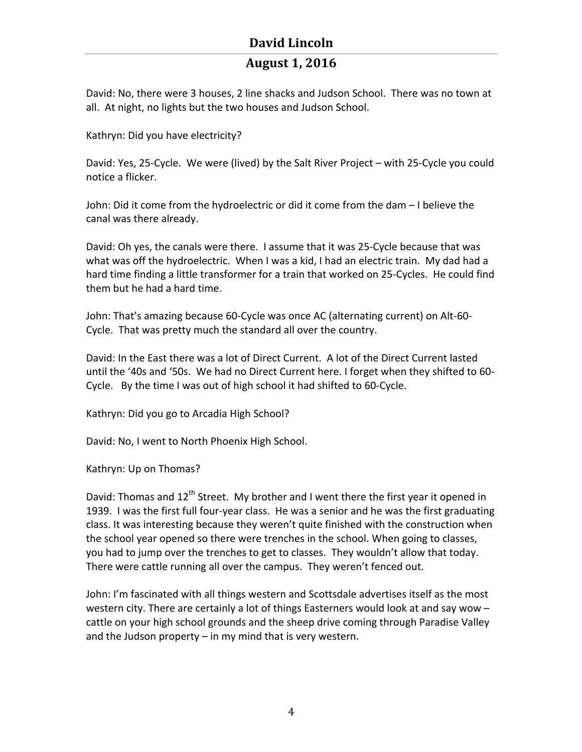## **August 1, 2016**

David: No, there were 3 houses, 2 line shacks and Judson School. There was no town at all. At night, no lights but the two houses and Judson School.

Kathryn: Did you have electricity?

David: Yes, 25-Cycle. We were (lived) by the Salt River Project – with 25-Cycle you could notice a flicker.

John: Did it come from the hydroelectric or did it come from the dam - I believe the canal was there already.

David: Oh yes, the canals were there. I assume that it was 25-Cycle because that was what was off the hydroelectric. When I was a kid, I had an electric train. My dad had a hard time finding a little transformer for a train that worked on 25-Cycles. He could find them but he had a hard time.

John: That's amazing because 60-Cycle was once AC (alternating current) on Alt-60-Cycle. That was pretty much the standard all over the country.

David: In the East there was a lot of Direct Current. A lot of the Direct Current lasted until the '40s and '50s. We had no Direct Current here. I forget when they shifted to 60-Cycle. By the time I was out of high school it had shifted to 60-Cycle.

Kathryn: Did you go to Arcadia High School?

David: No, I went to North Phoenix High School.

Kathryn: Up on Thomas?

David: Thomas and  $12^{th}$  Street. My brother and I went there the first year it opened in 1939. I was the first full four-year class. He was a senior and he was the first graduating class. It was interesting because they weren't quite finished with the construction when the school year opened so there were trenches in the school. When going to classes, you had to jump over the trenches to get to classes. They wouldn't allow that today. There were cattle running all over the campus. They weren't fenced out.

John: I'm fascinated with all things western and Scottsdale advertises itself as the most western city. There are certainly a lot of things Easterners would look at and say wow  $$ cattle on your high school grounds and the sheep drive coming through Paradise Valley and the Judson property  $-$  in my mind that is very western.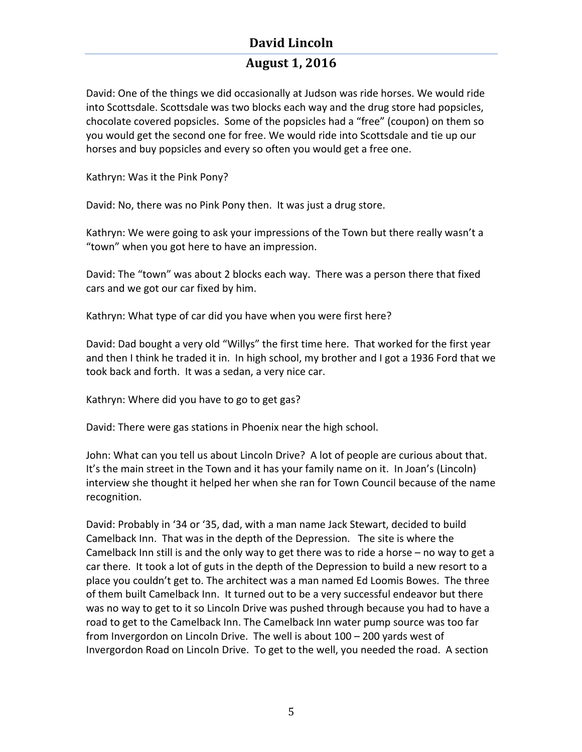## **August 1, 2016**

David: One of the things we did occasionally at Judson was ride horses. We would ride into Scottsdale. Scottsdale was two blocks each way and the drug store had popsicles, chocolate covered popsicles. Some of the popsicles had a "free" (coupon) on them so you would get the second one for free. We would ride into Scottsdale and tie up our horses and buy popsicles and every so often you would get a free one.

Kathryn: Was it the Pink Pony?

David: No, there was no Pink Pony then. It was just a drug store.

Kathryn: We were going to ask your impressions of the Town but there really wasn't a "town" when you got here to have an impression.

David: The "town" was about 2 blocks each way. There was a person there that fixed cars and we got our car fixed by him.

Kathryn: What type of car did you have when you were first here?

David: Dad bought a very old "Willys" the first time here. That worked for the first year and then I think he traded it in. In high school, my brother and I got a 1936 Ford that we took back and forth. It was a sedan, a very nice car.

Kathryn: Where did you have to go to get gas?

David: There were gas stations in Phoenix near the high school.

John: What can you tell us about Lincoln Drive? A lot of people are curious about that. It's the main street in the Town and it has your family name on it. In Joan's (Lincoln) interview she thought it helped her when she ran for Town Council because of the name recognition. 

David: Probably in '34 or '35, dad, with a man name Jack Stewart, decided to build Camelback Inn. That was in the depth of the Depression. The site is where the Camelback Inn still is and the only way to get there was to ride a horse  $-$  no way to get a car there. It took a lot of guts in the depth of the Depression to build a new resort to a place you couldn't get to. The architect was a man named Ed Loomis Bowes. The three of them built Camelback Inn. It turned out to be a very successful endeavor but there was no way to get to it so Lincoln Drive was pushed through because you had to have a road to get to the Camelback Inn. The Camelback Inn water pump source was too far from Invergordon on Lincoln Drive. The well is about  $100 - 200$  yards west of Invergordon Road on Lincoln Drive. To get to the well, you needed the road. A section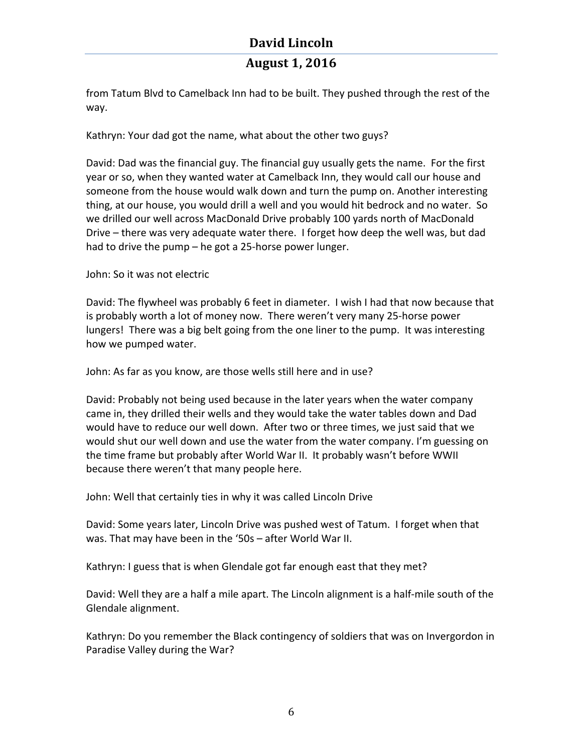## **August 1, 2016**

from Tatum Blvd to Camelback Inn had to be built. They pushed through the rest of the way. 

Kathryn: Your dad got the name, what about the other two guys?

David: Dad was the financial guy. The financial guy usually gets the name. For the first year or so, when they wanted water at Camelback Inn, they would call our house and someone from the house would walk down and turn the pump on. Another interesting thing, at our house, you would drill a well and you would hit bedrock and no water. So we drilled our well across MacDonald Drive probably 100 yards north of MacDonald Drive – there was very adequate water there. I forget how deep the well was, but dad had to drive the pump  $-$  he got a 25-horse power lunger.

John: So it was not electric

David: The flywheel was probably 6 feet in diameter. I wish I had that now because that is probably worth a lot of money now. There weren't very many 25-horse power lungers! There was a big belt going from the one liner to the pump. It was interesting how we pumped water.

John: As far as you know, are those wells still here and in use?

David: Probably not being used because in the later years when the water company came in, they drilled their wells and they would take the water tables down and Dad would have to reduce our well down. After two or three times, we just said that we would shut our well down and use the water from the water company. I'm guessing on the time frame but probably after World War II. It probably wasn't before WWII because there weren't that many people here.

John: Well that certainly ties in why it was called Lincoln Drive

David: Some years later, Lincoln Drive was pushed west of Tatum. I forget when that was. That may have been in the '50s - after World War II.

Kathryn: I guess that is when Glendale got far enough east that they met?

David: Well they are a half a mile apart. The Lincoln alignment is a half-mile south of the Glendale alignment.

Kathryn: Do you remember the Black contingency of soldiers that was on Invergordon in Paradise Valley during the War?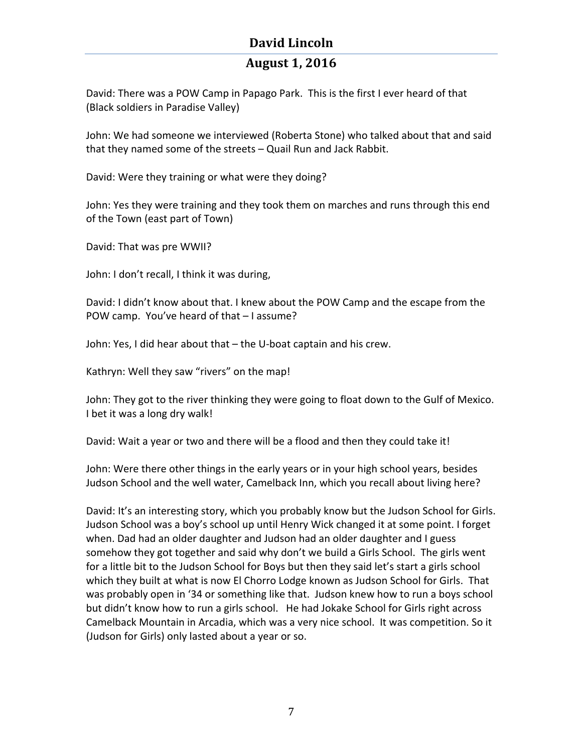## **August 1, 2016**

David: There was a POW Camp in Papago Park. This is the first I ever heard of that (Black soldiers in Paradise Valley)

John: We had someone we interviewed (Roberta Stone) who talked about that and said that they named some of the streets  $-$  Quail Run and Jack Rabbit.

David: Were they training or what were they doing?

John: Yes they were training and they took them on marches and runs through this end of the Town (east part of Town)

David: That was pre WWII?

John: I don't recall, I think it was during,

David: I didn't know about that. I knew about the POW Camp and the escape from the POW camp. You've heard of that  $-1$  assume?

John: Yes, I did hear about that - the U-boat captain and his crew.

Kathryn: Well they saw "rivers" on the map!

John: They got to the river thinking they were going to float down to the Gulf of Mexico. I bet it was a long dry walk!

David: Wait a year or two and there will be a flood and then they could take it!

John: Were there other things in the early years or in your high school years, besides Judson School and the well water, Camelback Inn, which you recall about living here?

David: It's an interesting story, which you probably know but the Judson School for Girls. Judson School was a boy's school up until Henry Wick changed it at some point. I forget when. Dad had an older daughter and Judson had an older daughter and I guess somehow they got together and said why don't we build a Girls School. The girls went for a little bit to the Judson School for Boys but then they said let's start a girls school which they built at what is now El Chorro Lodge known as Judson School for Girls. That was probably open in '34 or something like that. Judson knew how to run a boys school but didn't know how to run a girls school. He had Jokake School for Girls right across Camelback Mountain in Arcadia, which was a very nice school. It was competition. So it (Judson for Girls) only lasted about a year or so.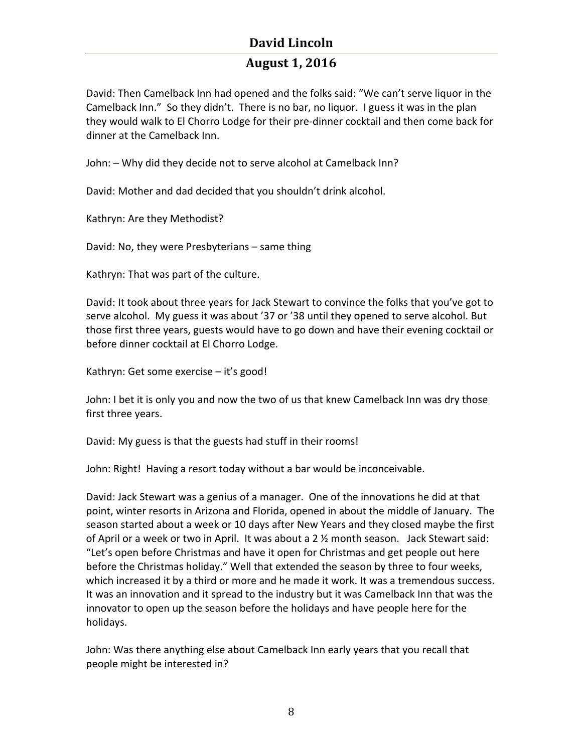## **August 1, 2016**

David: Then Camelback Inn had opened and the folks said: "We can't serve liquor in the Camelback Inn." So they didn't. There is no bar, no liquor. I guess it was in the plan they would walk to El Chorro Lodge for their pre-dinner cocktail and then come back for dinner at the Camelback Inn.

John: - Why did they decide not to serve alcohol at Camelback Inn?

David: Mother and dad decided that you shouldn't drink alcohol.

Kathryn: Are they Methodist?

David: No, they were Presbyterians - same thing

Kathryn: That was part of the culture.

David: It took about three years for Jack Stewart to convince the folks that you've got to serve alcohol. My guess it was about '37 or '38 until they opened to serve alcohol. But those first three years, guests would have to go down and have their evening cocktail or before dinner cocktail at El Chorro Lodge.

Kathryn: Get some exercise - it's good!

John: I bet it is only you and now the two of us that knew Camelback Inn was dry those first three years.

David: My guess is that the guests had stuff in their rooms!

John: Right! Having a resort today without a bar would be inconceivable.

David: Jack Stewart was a genius of a manager. One of the innovations he did at that point, winter resorts in Arizona and Florida, opened in about the middle of January. The season started about a week or 10 days after New Years and they closed maybe the first of April or a week or two in April. It was about a 2  $\frac{1}{2}$  month season. Jack Stewart said: "Let's open before Christmas and have it open for Christmas and get people out here before the Christmas holiday." Well that extended the season by three to four weeks, which increased it by a third or more and he made it work. It was a tremendous success. It was an innovation and it spread to the industry but it was Camelback Inn that was the innovator to open up the season before the holidays and have people here for the holidays. 

John: Was there anything else about Camelback Inn early years that you recall that people might be interested in?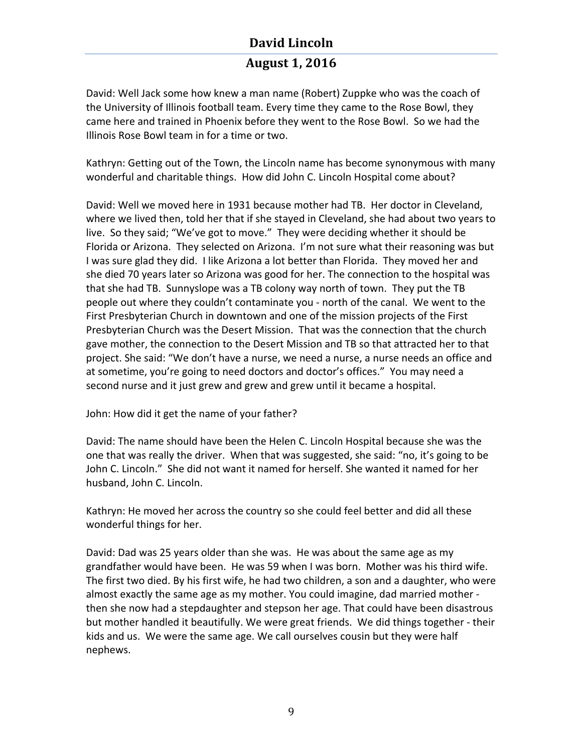## **August 1, 2016**

David: Well Jack some how knew a man name (Robert) Zuppke who was the coach of the University of Illinois football team. Every time they came to the Rose Bowl, they came here and trained in Phoenix before they went to the Rose Bowl. So we had the Illinois Rose Bowl team in for a time or two.

Kathryn: Getting out of the Town, the Lincoln name has become synonymous with many wonderful and charitable things. How did John C. Lincoln Hospital come about?

David: Well we moved here in 1931 because mother had TB. Her doctor in Cleveland, where we lived then, told her that if she stayed in Cleveland, she had about two years to live. So they said; "We've got to move." They were deciding whether it should be Florida or Arizona. They selected on Arizona. I'm not sure what their reasoning was but I was sure glad they did. I like Arizona a lot better than Florida. They moved her and she died 70 years later so Arizona was good for her. The connection to the hospital was that she had TB. Sunnyslope was a TB colony way north of town. They put the TB people out where they couldn't contaminate you - north of the canal. We went to the First Presbyterian Church in downtown and one of the mission projects of the First Presbyterian Church was the Desert Mission. That was the connection that the church gave mother, the connection to the Desert Mission and TB so that attracted her to that project. She said: "We don't have a nurse, we need a nurse, a nurse needs an office and at sometime, you're going to need doctors and doctor's offices." You may need a second nurse and it just grew and grew and grew until it became a hospital.

John: How did it get the name of your father?

David: The name should have been the Helen C. Lincoln Hospital because she was the one that was really the driver. When that was suggested, she said: "no, it's going to be John C. Lincoln." She did not want it named for herself. She wanted it named for her husband, John C. Lincoln.

Kathryn: He moved her across the country so she could feel better and did all these wonderful things for her.

David: Dad was 25 years older than she was. He was about the same age as my grandfather would have been. He was 59 when I was born. Mother was his third wife. The first two died. By his first wife, he had two children, a son and a daughter, who were almost exactly the same age as my mother. You could imagine, dad married mother then she now had a stepdaughter and stepson her age. That could have been disastrous but mother handled it beautifully. We were great friends. We did things together - their kids and us. We were the same age. We call ourselves cousin but they were half nephews.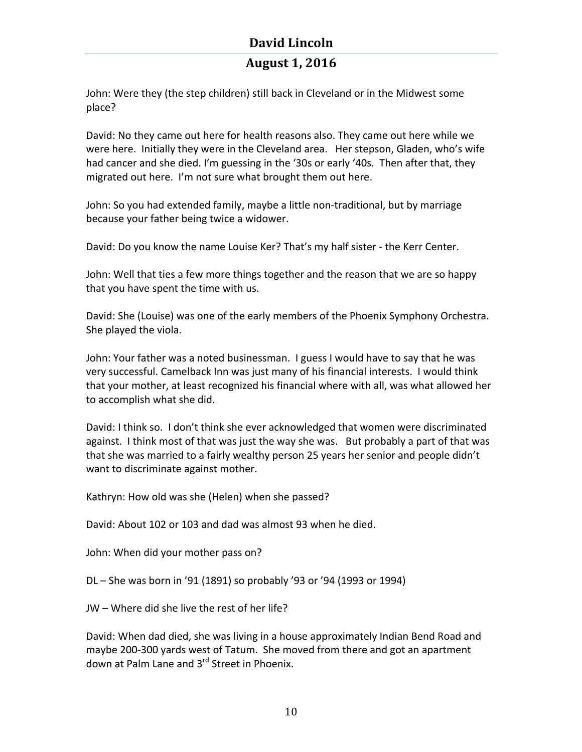## **August 1, 2016**

John: Were they (the step children) still back in Cleveland or in the Midwest some place?

David: No they came out here for health reasons also. They came out here while we were here. Initially they were in the Cleveland area. Her stepson, Gladen, who's wife had cancer and she died. I'm guessing in the '30s or early '40s. Then after that, they migrated out here. I'm not sure what brought them out here.

John: So you had extended family, maybe a little non-traditional, but by marriage because your father being twice a widower.

David: Do you know the name Louise Ker? That's my half sister - the Kerr Center.

John: Well that ties a few more things together and the reason that we are so happy that you have spent the time with us.

David: She (Louise) was one of the early members of the Phoenix Symphony Orchestra. She played the viola.

John: Your father was a noted businessman. I guess I would have to say that he was very successful. Camelback Inn was just many of his financial interests. I would think that your mother, at least recognized his financial where with all, was what allowed her to accomplish what she did.

David: I think so. I don't think she ever acknowledged that women were discriminated against. I think most of that was just the way she was. But probably a part of that was that she was married to a fairly wealthy person 25 years her senior and people didn't want to discriminate against mother.

Kathryn: How old was she (Helen) when she passed?

David: About 102 or 103 and dad was almost 93 when he died.

John: When did your mother pass on?

 $DL - She$  was born in '91 (1891) so probably '93 or '94 (1993 or 1994)

JW – Where did she live the rest of her life?

David: When dad died, she was living in a house approximately Indian Bend Road and maybe 200-300 yards west of Tatum. She moved from there and got an apartment down at Palm Lane and 3<sup>rd</sup> Street in Phoenix.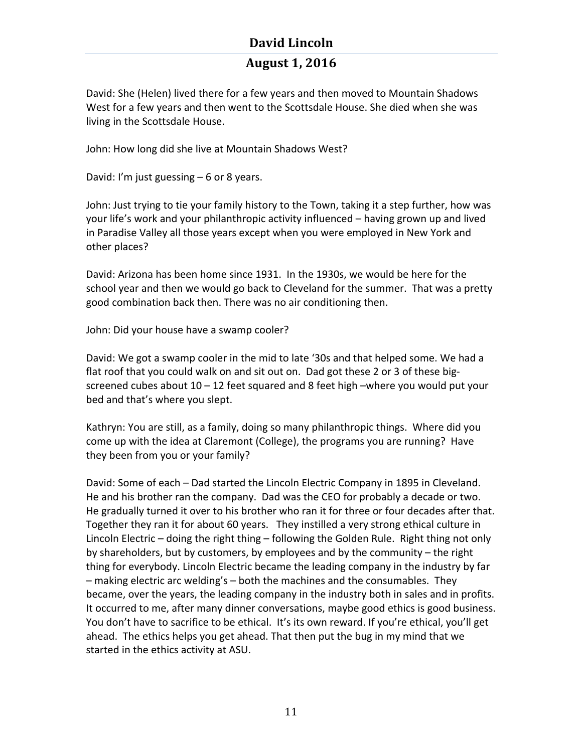## **August 1, 2016**

David: She (Helen) lived there for a few years and then moved to Mountain Shadows West for a few years and then went to the Scottsdale House. She died when she was living in the Scottsdale House.

John: How long did she live at Mountain Shadows West?

David: I'm just guessing  $-6$  or 8 years.

John: Just trying to tie your family history to the Town, taking it a step further, how was your life's work and your philanthropic activity influenced – having grown up and lived in Paradise Valley all those years except when you were employed in New York and other places?

David: Arizona has been home since 1931. In the 1930s, we would be here for the school year and then we would go back to Cleveland for the summer. That was a pretty good combination back then. There was no air conditioning then.

John: Did your house have a swamp cooler?

David: We got a swamp cooler in the mid to late '30s and that helped some. We had a flat roof that you could walk on and sit out on. Dad got these 2 or 3 of these bigscreened cubes about  $10 - 12$  feet squared and 8 feet high –where you would put your bed and that's where you slept.

Kathryn: You are still, as a family, doing so many philanthropic things. Where did you come up with the idea at Claremont (College), the programs you are running? Have they been from you or your family?

David: Some of each – Dad started the Lincoln Electric Company in 1895 in Cleveland. He and his brother ran the company. Dad was the CEO for probably a decade or two. He gradually turned it over to his brother who ran it for three or four decades after that. Together they ran it for about 60 years. They instilled a very strong ethical culture in Lincoln Electric – doing the right thing – following the Golden Rule. Right thing not only by shareholders, but by customers, by employees and by the community – the right thing for everybody. Lincoln Electric became the leading company in the industry by far  $-$  making electric arc welding's  $-$  both the machines and the consumables. They became, over the years, the leading company in the industry both in sales and in profits. It occurred to me, after many dinner conversations, maybe good ethics is good business. You don't have to sacrifice to be ethical. It's its own reward. If you're ethical, you'll get ahead. The ethics helps you get ahead. That then put the bug in my mind that we started in the ethics activity at ASU.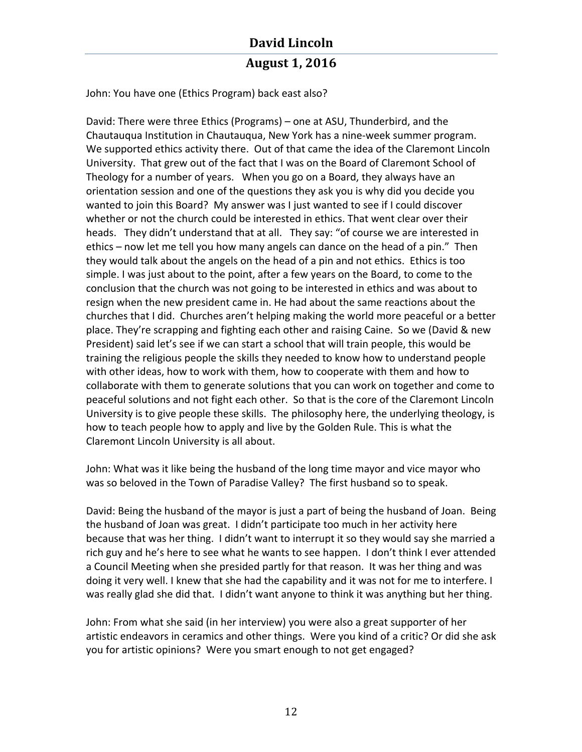## **David Lincoln August 1, 2016**

John: You have one (Ethics Program) back east also?

David: There were three Ethics (Programs) – one at ASU, Thunderbird, and the Chautauqua Institution in Chautauqua, New York has a nine-week summer program. We supported ethics activity there. Out of that came the idea of the Claremont Lincoln University. That grew out of the fact that I was on the Board of Claremont School of Theology for a number of years. When you go on a Board, they always have an orientation session and one of the questions they ask you is why did you decide you wanted to join this Board? My answer was I just wanted to see if I could discover whether or not the church could be interested in ethics. That went clear over their heads. They didn't understand that at all. They say: "of course we are interested in ethics – now let me tell you how many angels can dance on the head of a pin." Then they would talk about the angels on the head of a pin and not ethics. Ethics is too simple. I was just about to the point, after a few years on the Board, to come to the conclusion that the church was not going to be interested in ethics and was about to resign when the new president came in. He had about the same reactions about the churches that I did. Churches aren't helping making the world more peaceful or a better place. They're scrapping and fighting each other and raising Caine. So we (David & new President) said let's see if we can start a school that will train people, this would be training the religious people the skills they needed to know how to understand people with other ideas, how to work with them, how to cooperate with them and how to collaborate with them to generate solutions that you can work on together and come to peaceful solutions and not fight each other. So that is the core of the Claremont Lincoln University is to give people these skills. The philosophy here, the underlying theology, is how to teach people how to apply and live by the Golden Rule. This is what the Claremont Lincoln University is all about.

John: What was it like being the husband of the long time mayor and vice mayor who was so beloved in the Town of Paradise Valley? The first husband so to speak.

David: Being the husband of the mayor is just a part of being the husband of Joan. Being the husband of Joan was great. I didn't participate too much in her activity here because that was her thing. I didn't want to interrupt it so they would say she married a rich guy and he's here to see what he wants to see happen. I don't think I ever attended a Council Meeting when she presided partly for that reason. It was her thing and was doing it very well. I knew that she had the capability and it was not for me to interfere. I was really glad she did that. I didn't want anyone to think it was anything but her thing.

John: From what she said (in her interview) you were also a great supporter of her artistic endeavors in ceramics and other things. Were you kind of a critic? Or did she ask you for artistic opinions? Were you smart enough to not get engaged?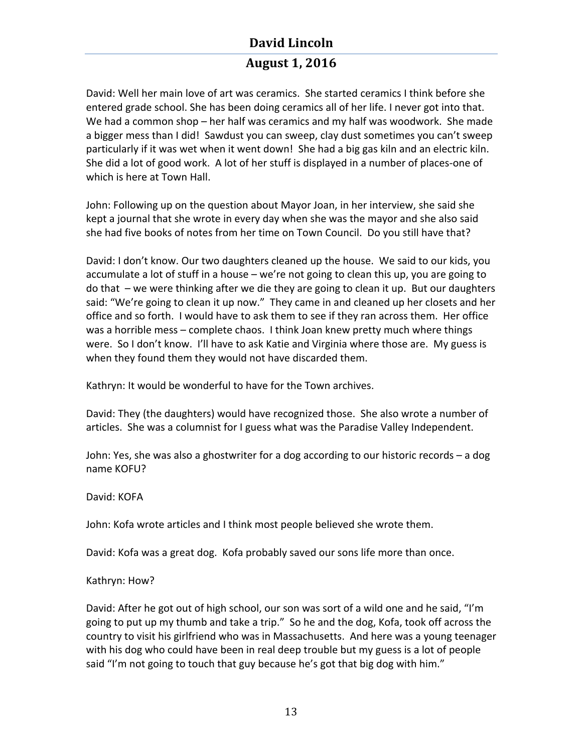## **August 1, 2016**

David: Well her main love of art was ceramics. She started ceramics I think before she entered grade school. She has been doing ceramics all of her life. I never got into that. We had a common shop  $-$  her half was ceramics and my half was woodwork. She made a bigger mess than I did! Sawdust you can sweep, clay dust sometimes you can't sweep particularly if it was wet when it went down! She had a big gas kiln and an electric kiln. She did a lot of good work. A lot of her stuff is displayed in a number of places-one of which is here at Town Hall.

John: Following up on the question about Mayor Joan, in her interview, she said she kept a journal that she wrote in every day when she was the mayor and she also said she had five books of notes from her time on Town Council. Do you still have that?

David: I don't know. Our two daughters cleaned up the house. We said to our kids, you accumulate a lot of stuff in a house  $-$  we're not going to clean this up, you are going to do that  $-$  we were thinking after we die they are going to clean it up. But our daughters said: "We're going to clean it up now." They came in and cleaned up her closets and her office and so forth. I would have to ask them to see if they ran across them. Her office was a horrible mess – complete chaos. I think Joan knew pretty much where things were. So I don't know. I'll have to ask Katie and Virginia where those are. My guess is when they found them they would not have discarded them.

Kathryn: It would be wonderful to have for the Town archives.

David: They (the daughters) would have recognized those. She also wrote a number of articles. She was a columnist for I guess what was the Paradise Valley Independent.

John: Yes, she was also a ghostwriter for a dog according to our historic records  $-$  a dog name KOFU?

David: KOFA

John: Kofa wrote articles and I think most people believed she wrote them.

David: Kofa was a great dog. Kofa probably saved our sons life more than once.

Kathryn: How?

David: After he got out of high school, our son was sort of a wild one and he said, "I'm going to put up my thumb and take a trip." So he and the dog, Kofa, took off across the country to visit his girlfriend who was in Massachusetts. And here was a young teenager with his dog who could have been in real deep trouble but my guess is a lot of people said "I'm not going to touch that guy because he's got that big dog with him."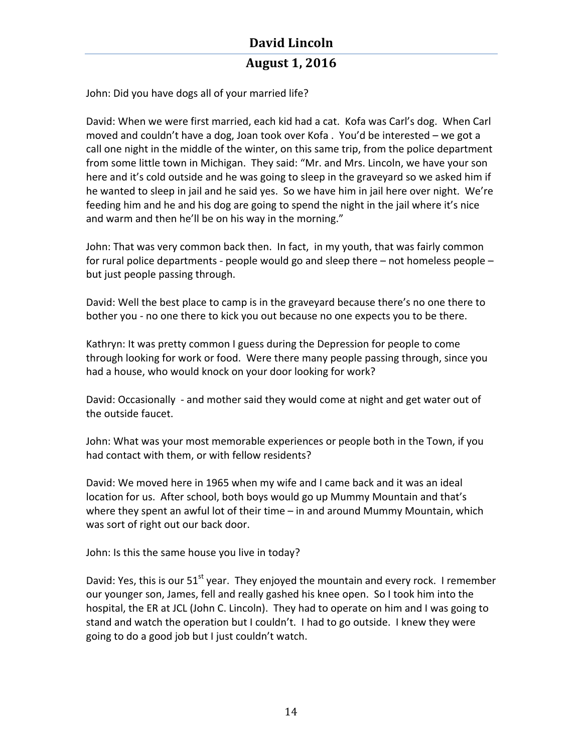John: Did you have dogs all of your married life?

David: When we were first married, each kid had a cat. Kofa was Carl's dog. When Carl moved and couldn't have a dog, Joan took over Kofa. You'd be interested  $-$  we got a call one night in the middle of the winter, on this same trip, from the police department from some little town in Michigan. They said: "Mr. and Mrs. Lincoln, we have your son here and it's cold outside and he was going to sleep in the graveyard so we asked him if he wanted to sleep in jail and he said yes. So we have him in jail here over night. We're feeding him and he and his dog are going to spend the night in the jail where it's nice and warm and then he'll be on his way in the morning."

John: That was very common back then. In fact, in my youth, that was fairly common for rural police departments - people would go and sleep there  $-$  not homeless people  $$ but just people passing through.

David: Well the best place to camp is in the graveyard because there's no one there to bother you - no one there to kick you out because no one expects you to be there.

Kathryn: It was pretty common I guess during the Depression for people to come through looking for work or food. Were there many people passing through, since you had a house, who would knock on your door looking for work?

David: Occasionally - and mother said they would come at night and get water out of the outside faucet.

John: What was your most memorable experiences or people both in the Town, if you had contact with them, or with fellow residents?

David: We moved here in 1965 when my wife and I came back and it was an ideal location for us. After school, both boys would go up Mummy Mountain and that's where they spent an awful lot of their time  $-$  in and around Mummy Mountain, which was sort of right out our back door.

John: Is this the same house you live in today?

David: Yes, this is our  $51^{st}$  year. They enjoyed the mountain and every rock. I remember our younger son, James, fell and really gashed his knee open. So I took him into the hospital, the ER at JCL (John C. Lincoln). They had to operate on him and I was going to stand and watch the operation but I couldn't. I had to go outside. I knew they were going to do a good job but I just couldn't watch.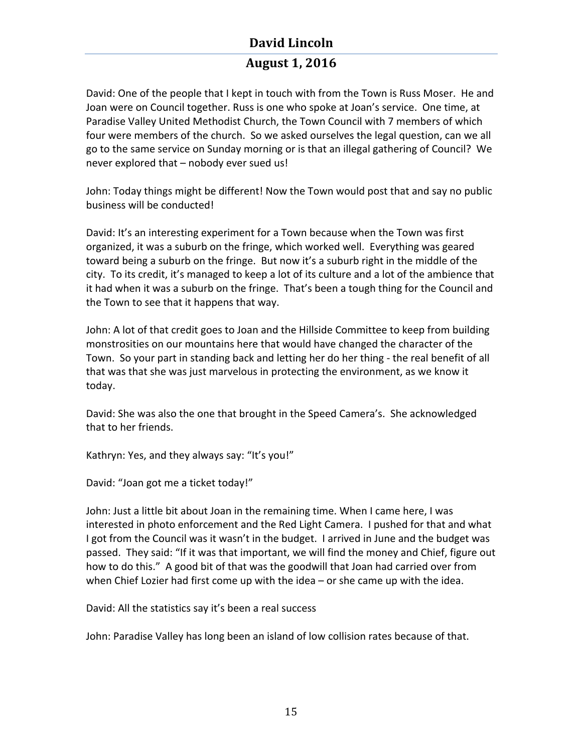## **August 1, 2016**

David: One of the people that I kept in touch with from the Town is Russ Moser. He and Joan were on Council together. Russ is one who spoke at Joan's service. One time, at Paradise Valley United Methodist Church, the Town Council with 7 members of which four were members of the church. So we asked ourselves the legal question, can we all go to the same service on Sunday morning or is that an illegal gathering of Council? We never explored that – nobody ever sued us!

John: Today things might be different! Now the Town would post that and say no public business will be conducted!

David: It's an interesting experiment for a Town because when the Town was first organized, it was a suburb on the fringe, which worked well. Everything was geared toward being a suburb on the fringe. But now it's a suburb right in the middle of the city. To its credit, it's managed to keep a lot of its culture and a lot of the ambience that it had when it was a suburb on the fringe. That's been a tough thing for the Council and the Town to see that it happens that way.

John: A lot of that credit goes to Joan and the Hillside Committee to keep from building monstrosities on our mountains here that would have changed the character of the Town. So your part in standing back and letting her do her thing - the real benefit of all that was that she was just marvelous in protecting the environment, as we know it today. 

David: She was also the one that brought in the Speed Camera's. She acknowledged that to her friends.

Kathryn: Yes, and they always say: "It's you!"

David: "Joan got me a ticket today!"

John: Just a little bit about Joan in the remaining time. When I came here, I was interested in photo enforcement and the Red Light Camera. I pushed for that and what I got from the Council was it wasn't in the budget. I arrived in June and the budget was passed. They said: "If it was that important, we will find the money and Chief, figure out how to do this." A good bit of that was the goodwill that Joan had carried over from when Chief Lozier had first come up with the idea – or she came up with the idea.

David: All the statistics say it's been a real success

John: Paradise Valley has long been an island of low collision rates because of that.